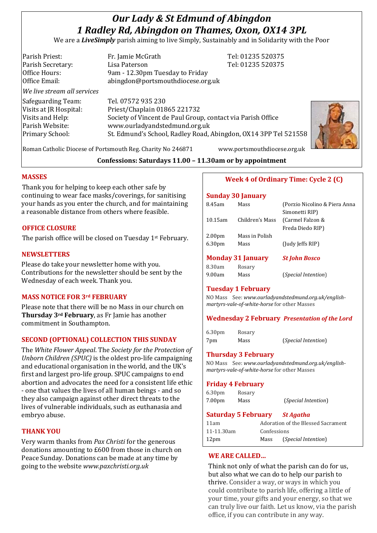# *Our Lady & St Edmund of Abingdon 1 Radley Rd, Abingdon on Thames, Oxon, OX14 3PL*

We are a *LiveSimply* parish aiming to live Simply, Sustainably and in Solidarity with the Poor

| Parish Priest:              | Fr. Jamie McGrath                                               | Tel: 01235 520375 |
|-----------------------------|-----------------------------------------------------------------|-------------------|
| Parish Secretary:           | Lisa Paterson                                                   | Tel: 01235 520375 |
| Office Hours:               | 9am - 12.30pm Tuesday to Friday                                 |                   |
| Office Email:               | abingdon@portsmouthdiocese.org.uk                               |                   |
| We live stream all services |                                                                 |                   |
| Safeguarding Team:          | Tel. 07572 935 230                                              |                   |
| Visits at JR Hospital:      | Priest/Chaplain 01865 221732                                    |                   |
| Visits and Help:            | Society of Vincent de Paul Group, contact via Parish Office     |                   |
| Parish Website:             | www.ourladyandstedmund.org.uk                                   |                   |
| Primary School:             | St. Edmund's School, Radley Road, Abingdon, OX14 3PP Tel 521558 |                   |
|                             |                                                                 |                   |
|                             |                                                                 |                   |



Roman Catholic Diocese of Portsmouth Reg. Charity No 246871 www.portsmouthdiocese.org.uk

## **Confessions: Saturdays 11.00 – 11.30am or by appointment**

# **MASSES**

Thank you for helping to keep each other safe by continuing to wear face masks/coverings, for sanitising your hands as you enter the church, and for maintaining a reasonable distance from others where feasible.

## **OFFICE CLOSURE**

The parish office will be closed on Tuesday 1<sup>st</sup> February.

## **NEWSLETTERS**

Please do take your newsletter home with you. Contributions for the newsletter should be sent by the Wednesday of each week. Thank you.

# **MASS NOTICE FOR 3rd FEBRUARY**

Please note that there will be no Mass in our church on **Thursday 3rd February**, as Fr Jamie has another commitment in Southampton.

## **SECOND (OPTIONAL) COLLECTION THIS SUNDAY**

The *White Flower Appeal*. The *Society for the Protection of Unborn Children (SPUC)* is the oldest pro-life campaigning and educational organisation in the world, and the UK's first and largest pro-life group. SPUC campaigns to end abortion and advocates the need for a consistent life ethic - one that values the lives of all human beings - and so they also campaign against other direct threats to the lives of vulnerable individuals, such as euthanasia and embryo abuse.

## **THANK YOU**

Very warm thanks from *Pax Christi* for the generous donations amounting to £600 from those in church on Peace Sunday. Donations can be made at any time by going to the website *www.paxchristi.org.uk*

# **Week 4 of Ordinary Time: Cycle 2 (C)**

#### **Sunday 30 January**

| 8.45am                   | Mass            | (Porzio Nicolino & Piera Anna |
|--------------------------|-----------------|-------------------------------|
|                          |                 | Simonetti RIP)                |
| 10.15am                  | Children's Mass | (Carmel Falzon &              |
|                          |                 | Freda Diedo RIP)              |
| 2.00 <sub>pm</sub>       | Mass in Polish  |                               |
| 6.30 <sub>pm</sub>       | Mass            | (Judy Jeffs RIP)              |
|                          |                 |                               |
| <b>Monday 31 January</b> |                 | <b>St John Bosco</b>          |
| 8.30am                   | Rosary          |                               |
| 9.00am                   | Mass            | <i>(Special Intention)</i>    |

## **Tuesday 1 February**

NO Mass See: *www.ourladyandstedmund.org.uk/englishmartyrs-vale-of-white-horse* for other Masses

# **Wednesday 2 February** *Presentation of the Lord*

| 6.30 <sub>pm</sub> | Rosary |                              |
|--------------------|--------|------------------------------|
| 7pm                | Mass   | ( <i>Special Intention</i> ) |

## **Thursday 3 February**

NO Mass See: *www.ourladyandstedmund.org.uk/englishmartyrs-vale-of-white-horse* for other Masses

## **Friday 4 February**

| 6.30 <sub>pm</sub> | Rosary |                              |
|--------------------|--------|------------------------------|
| 7.00pm             | Mass   | ( <i>Special Intention</i> ) |

## **Saturday 5 February** *St Agatha*

| 11am             | Adoration of the Blessed Sacrament |                              |
|------------------|------------------------------------|------------------------------|
| 11-11.30am       | Confessions                        |                              |
| 12 <sub>pm</sub> | Mass                               | ( <i>Special Intention</i> ) |

## **WE ARE CALLED…**

Think not only of what the parish can do for us, but also what we can do to help our parish to thrive. Consider a way, or ways in which you could contribute to parish life, offering a little of your time, your gifts and your energy, so that we can truly live our faith. Let us know, via the parish office, if you can contribute in any way.